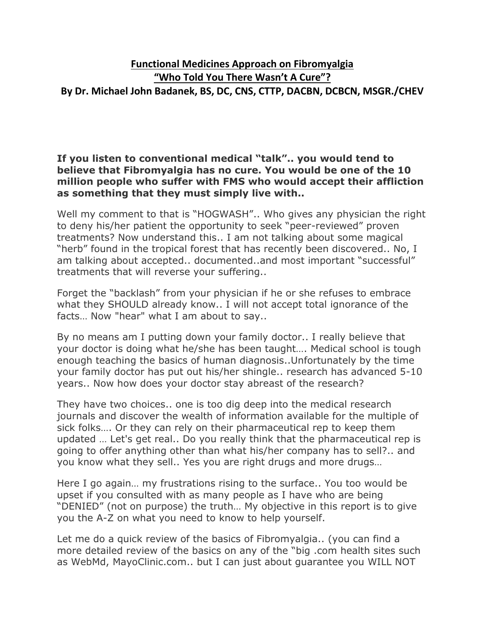# **Functional Medicines Approach on Fibromyalgia "Who Told You There Wasn't A Cure"? By Dr. Michael John Badanek, BS, DC, CNS, CTTP, DACBN, DCBCN, MSGR./CHEV**

#### **If you listen to conventional medical "talk".. you would tend to believe that Fibromyalgia has no cure. You would be one of the 10 million people who suffer with FMS who would accept their affliction as something that they must simply live with..**

Well my comment to that is "HOGWASH".. Who gives any physician the right to deny his/her patient the opportunity to seek "peer-reviewed" proven treatments? Now understand this.. I am not talking about some magical "herb" found in the tropical forest that has recently been discovered.. No, I am talking about accepted.. documented..and most important "successful" treatments that will reverse your suffering..

Forget the "backlash" from your physician if he or she refuses to embrace what they SHOULD already know.. I will not accept total ignorance of the facts… Now "hear" what I am about to say..

By no means am I putting down your family doctor.. I really believe that your doctor is doing what he/she has been taught…. Medical school is tough enough teaching the basics of human diagnosis..Unfortunately by the time your family doctor has put out his/her shingle.. research has advanced 5-10 years.. Now how does your doctor stay abreast of the research?

They have two choices.. one is too dig deep into the medical research journals and discover the wealth of information available for the multiple of sick folks…. Or they can rely on their pharmaceutical rep to keep them updated … Let's get real.. Do you really think that the pharmaceutical rep is going to offer anything other than what his/her company has to sell?.. and you know what they sell.. Yes you are right drugs and more drugs…

Here I go again… my frustrations rising to the surface.. You too would be upset if you consulted with as many people as I have who are being "DENIED" (not on purpose) the truth… My objective in this report is to give you the A-Z on what you need to know to help yourself.

Let me do a quick review of the basics of Fibromyalgia.. (you can find a more detailed review of the basics on any of the "big .com health sites such as WebMd, MayoClinic.com.. but I can just about guarantee you WILL NOT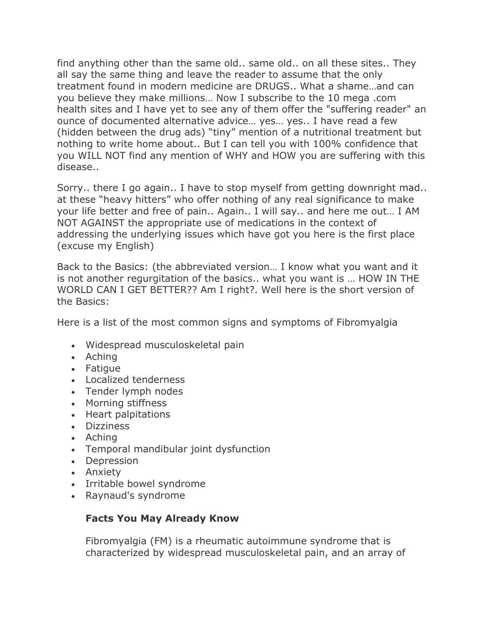find anything other than the same old.. same old.. on all these sites.. They all say the same thing and leave the reader to assume that the only treatment found in modern medicine are DRUGS.. What a shame…and can you believe they make millions… Now I subscribe to the 10 mega .com health sites and I have yet to see any of them offer the "suffering reader" an ounce of documented alternative advice… yes… yes.. I have read a few (hidden between the drug ads) "tiny" mention of a nutritional treatment but nothing to write home about.. But I can tell you with 100% confidence that you WILL NOT find any mention of WHY and HOW you are suffering with this disease..

Sorry.. there I go again.. I have to stop myself from getting downright mad.. at these "heavy hitters" who offer nothing of any real significance to make your life better and free of pain.. Again.. I will say.. and here me out… I AM NOT AGAINST the appropriate use of medications in the context of addressing the underlying issues which have got you here is the first place (excuse my English)

Back to the Basics: (the abbreviated version… I know what you want and it is not another regurgitation of the basics.. what you want is … HOW IN THE WORLD CAN I GET BETTER?? Am I right?. Well here is the short version of the Basics:

Here is a list of the most common signs and symptoms of Fibromyalgia

- Widespread musculoskeletal pain
- Aching
- Fatique
- Localized tenderness
- Tender lymph nodes
- Morning stiffness
- Heart palpitations
- Dizziness
- Aching
- Temporal mandibular joint dysfunction
- Depression
- Anxiety
- Irritable bowel syndrome
- Raynaud's syndrome

#### **Facts You May Already Know**

Fibromyalgia (FM) is a rheumatic autoimmune syndrome that is characterized by widespread musculoskeletal pain, and an array of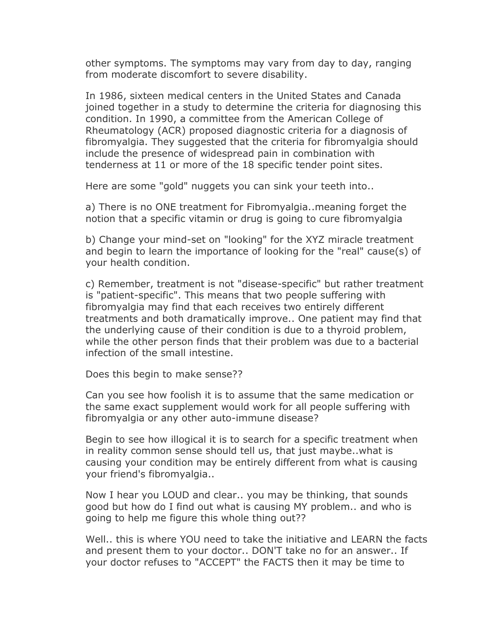other symptoms. The symptoms may vary from day to day, ranging from moderate discomfort to severe disability.

In 1986, sixteen medical centers in the United States and Canada joined together in a study to determine the criteria for diagnosing this condition. In 1990, a committee from the American College of Rheumatology (ACR) proposed diagnostic criteria for a diagnosis of fibromyalgia. They suggested that the criteria for fibromyalgia should include the presence of widespread pain in combination with tenderness at 11 or more of the 18 specific tender point sites.

Here are some "gold" nuggets you can sink your teeth into..

a) There is no ONE treatment for Fibromyalgia..meaning forget the notion that a specific vitamin or drug is going to cure fibromyalgia

b) Change your mind-set on "looking" for the XYZ miracle treatment and begin to learn the importance of looking for the "real" cause(s) of your health condition.

c) Remember, treatment is not "disease-specific" but rather treatment is "patient-specific". This means that two people suffering with fibromyalgia may find that each receives two entirely different treatments and both dramatically improve.. One patient may find that the underlying cause of their condition is due to a thyroid problem, while the other person finds that their problem was due to a bacterial infection of the small intestine.

Does this begin to make sense??

Can you see how foolish it is to assume that the same medication or the same exact supplement would work for all people suffering with fibromyalgia or any other auto-immune disease?

Begin to see how illogical it is to search for a specific treatment when in reality common sense should tell us, that just maybe..what is causing your condition may be entirely different from what is causing your friend's fibromyalgia..

Now I hear you LOUD and clear.. you may be thinking, that sounds good but how do I find out what is causing MY problem.. and who is going to help me figure this whole thing out??

Well.. this is where YOU need to take the initiative and LEARN the facts and present them to your doctor.. DON'T take no for an answer.. If your doctor refuses to "ACCEPT" the FACTS then it may be time to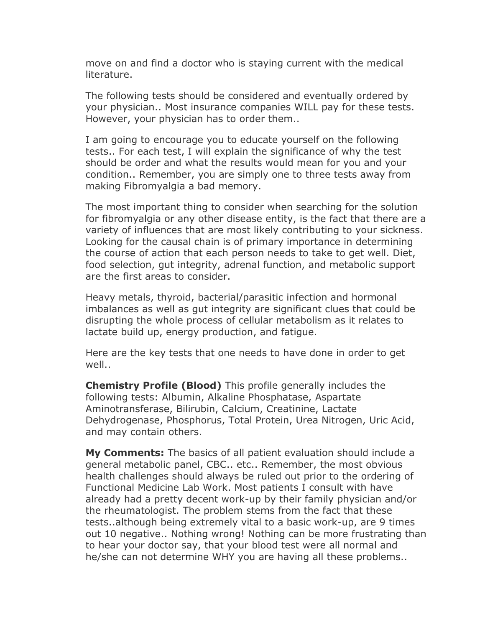move on and find a doctor who is staying current with the medical literature.

The following tests should be considered and eventually ordered by your physician.. Most insurance companies WILL pay for these tests. However, your physician has to order them..

I am going to encourage you to educate yourself on the following tests.. For each test, I will explain the significance of why the test should be order and what the results would mean for you and your condition.. Remember, you are simply one to three tests away from making Fibromyalgia a bad memory.

The most important thing to consider when searching for the solution for fibromyalgia or any other disease entity, is the fact that there are a variety of influences that are most likely contributing to your sickness. Looking for the causal chain is of primary importance in determining the course of action that each person needs to take to get well. Diet, food selection, gut integrity, adrenal function, and metabolic support are the first areas to consider.

Heavy metals, thyroid, bacterial/parasitic infection and hormonal imbalances as well as gut integrity are significant clues that could be disrupting the whole process of cellular metabolism as it relates to lactate build up, energy production, and fatigue.

Here are the key tests that one needs to have done in order to get well..

**Chemistry Profile (Blood)** This profile generally includes the following tests: Albumin, Alkaline Phosphatase, Aspartate Aminotransferase, Bilirubin, Calcium, Creatinine, Lactate Dehydrogenase, Phosphorus, Total Protein, Urea Nitrogen, Uric Acid, and may contain others.

**My Comments:** The basics of all patient evaluation should include a general metabolic panel, CBC.. etc.. Remember, the most obvious health challenges should always be ruled out prior to the ordering of Functional Medicine Lab Work. Most patients I consult with have already had a pretty decent work-up by their family physician and/or the rheumatologist. The problem stems from the fact that these tests..although being extremely vital to a basic work-up, are 9 times out 10 negative.. Nothing wrong! Nothing can be more frustrating than to hear your doctor say, that your blood test were all normal and he/she can not determine WHY you are having all these problems..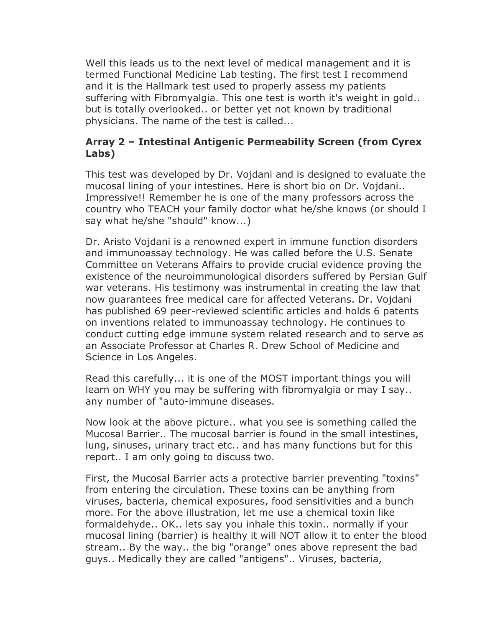Well this leads us to the next level of medical management and it is termed Functional Medicine Lab testing. The first test I recommend and it is the Hallmark test used to properly assess my patients suffering with Fibromyalgia. This one test is worth it's weight in gold.. but is totally overlooked.. or better yet not known by traditional physicians. The name of the test is called...

### **Array 2 – Intestinal Antigenic Permeability Screen (from Cyrex Labs)**

This test was developed by Dr. Vojdani and is designed to evaluate the mucosal lining of your intestines. Here is short bio on Dr. Vojdani.. Impressive!! Remember he is one of the many professors across the country who TEACH your family doctor what he/she knows (or should I say what he/she "should" know...)

Dr. Aristo Vojdani is a renowned expert in immune function disorders and immunoassay technology. He was called before the U.S. Senate Committee on Veterans Affairs to provide crucial evidence proving the existence of the neuroimmunological disorders suffered by Persian Gulf war veterans. His testimony was instrumental in creating the law that now guarantees free medical care for affected Veterans. Dr. Vojdani has published 69 peer-reviewed scientific articles and holds 6 patents on inventions related to immunoassay technology. He continues to conduct cutting edge immune system related research and to serve as an Associate Professor at Charles R. Drew School of Medicine and Science in Los Angeles.

Read this carefully... it is one of the MOST important things you will learn on WHY you may be suffering with fibromyalgia or may I say.. any number of "auto-immune diseases.

Now look at the above picture.. what you see is something called the Mucosal Barrier.. The mucosal barrier is found in the small intestines, lung, sinuses, urinary tract etc.. and has many functions but for this report.. I am only going to discuss two.

First, the Mucosal Barrier acts a protective barrier preventing "toxins" from entering the circulation. These toxins can be anything from viruses, bacteria, chemical exposures, food sensitivities and a bunch more. For the above illustration, let me use a chemical toxin like formaldehyde.. OK.. lets say you inhale this toxin.. normally if your mucosal lining (barrier) is healthy it will NOT allow it to enter the blood stream.. By the way.. the big "orange" ones above represent the bad guys.. Medically they are called "antigens".. Viruses, bacteria,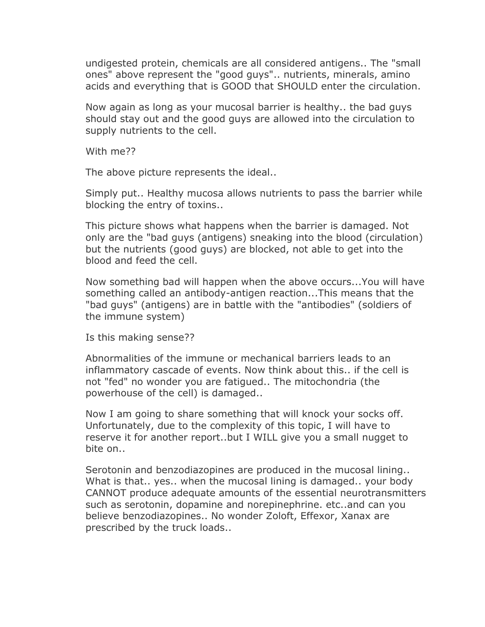undigested protein, chemicals are all considered antigens.. The "small ones" above represent the "good guys".. nutrients, minerals, amino acids and everything that is GOOD that SHOULD enter the circulation.

Now again as long as your mucosal barrier is healthy.. the bad guys should stay out and the good guys are allowed into the circulation to supply nutrients to the cell.

With me??

The above picture represents the ideal..

Simply put.. Healthy mucosa allows nutrients to pass the barrier while blocking the entry of toxins..

This picture shows what happens when the barrier is damaged. Not only are the "bad guys (antigens) sneaking into the blood (circulation) but the nutrients (good guys) are blocked, not able to get into the blood and feed the cell.

Now something bad will happen when the above occurs...You will have something called an antibody-antigen reaction...This means that the "bad guys" (antigens) are in battle with the "antibodies" (soldiers of the immune system)

Is this making sense??

Abnormalities of the immune or mechanical barriers leads to an inflammatory cascade of events. Now think about this.. if the cell is not "fed" no wonder you are fatigued.. The mitochondria (the powerhouse of the cell) is damaged..

Now I am going to share something that will knock your socks off. Unfortunately, due to the complexity of this topic, I will have to reserve it for another report..but I WILL give you a small nugget to bite on..

Serotonin and benzodiazopines are produced in the mucosal lining.. What is that.. yes.. when the mucosal lining is damaged.. your body CANNOT produce adequate amounts of the essential neurotransmitters such as serotonin, dopamine and norepinephrine. etc..and can you believe benzodiazopines.. No wonder Zoloft, Effexor, Xanax are prescribed by the truck loads..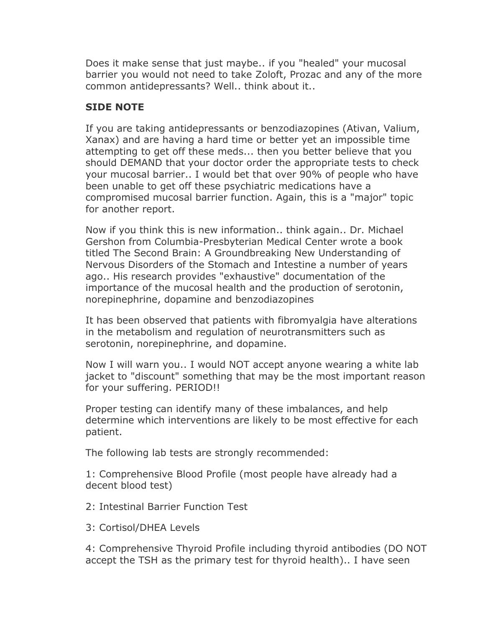Does it make sense that just maybe.. if you "healed" your mucosal barrier you would not need to take Zoloft, Prozac and any of the more common antidepressants? Well.. think about it..

## **SIDE NOTE**

If you are taking antidepressants or benzodiazopines (Ativan, Valium, Xanax) and are having a hard time or better yet an impossible time attempting to get off these meds... then you better believe that you should DEMAND that your doctor order the appropriate tests to check your mucosal barrier.. I would bet that over 90% of people who have been unable to get off these psychiatric medications have a compromised mucosal barrier function. Again, this is a "major" topic for another report.

Now if you think this is new information.. think again.. Dr. Michael Gershon from Columbia-Presbyterian Medical Center wrote a book titled The Second Brain: A Groundbreaking New Understanding of Nervous Disorders of the Stomach and Intestine a number of years ago.. His research provides "exhaustive" documentation of the importance of the mucosal health and the production of serotonin, norepinephrine, dopamine and benzodiazopines

It has been observed that patients with fibromyalgia have alterations in the metabolism and regulation of neurotransmitters such as serotonin, norepinephrine, and dopamine.

Now I will warn you.. I would NOT accept anyone wearing a white lab jacket to "discount" something that may be the most important reason for your suffering. PERIOD!!

Proper testing can identify many of these imbalances, and help determine which interventions are likely to be most effective for each patient.

The following lab tests are strongly recommended:

1: Comprehensive Blood Profile (most people have already had a decent blood test)

2: Intestinal Barrier Function Test

3: Cortisol/DHEA Levels

4: Comprehensive Thyroid Profile including thyroid antibodies (DO NOT accept the TSH as the primary test for thyroid health).. I have seen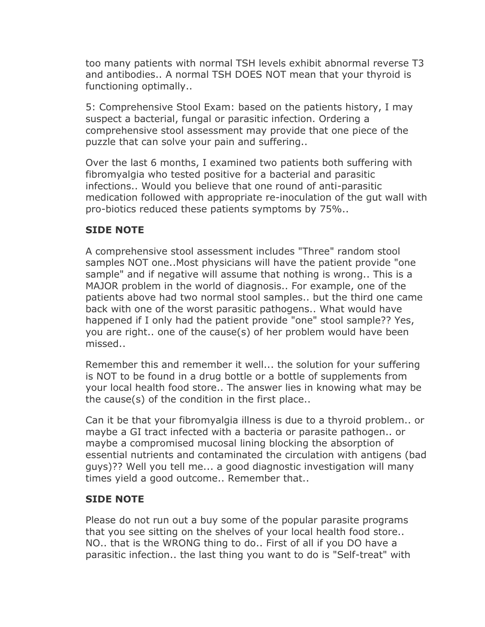too many patients with normal TSH levels exhibit abnormal reverse T3 and antibodies.. A normal TSH DOES NOT mean that your thyroid is functioning optimally..

5: Comprehensive Stool Exam: based on the patients history, I may suspect a bacterial, fungal or parasitic infection. Ordering a comprehensive stool assessment may provide that one piece of the puzzle that can solve your pain and suffering..

Over the last 6 months, I examined two patients both suffering with fibromyalgia who tested positive for a bacterial and parasitic infections.. Would you believe that one round of anti-parasitic medication followed with appropriate re-inoculation of the gut wall with pro-biotics reduced these patients symptoms by 75%..

# **SIDE NOTE**

A comprehensive stool assessment includes "Three" random stool samples NOT one..Most physicians will have the patient provide "one sample" and if negative will assume that nothing is wrong.. This is a MAJOR problem in the world of diagnosis.. For example, one of the patients above had two normal stool samples.. but the third one came back with one of the worst parasitic pathogens.. What would have happened if I only had the patient provide "one" stool sample?? Yes, you are right.. one of the cause(s) of her problem would have been missed..

Remember this and remember it well... the solution for your suffering is NOT to be found in a drug bottle or a bottle of supplements from your local health food store.. The answer lies in knowing what may be the cause(s) of the condition in the first place..

Can it be that your fibromyalgia illness is due to a thyroid problem.. or maybe a GI tract infected with a bacteria or parasite pathogen.. or maybe a compromised mucosal lining blocking the absorption of essential nutrients and contaminated the circulation with antigens (bad guys)?? Well you tell me... a good diagnostic investigation will many times yield a good outcome.. Remember that..

### **SIDE NOTE**

Please do not run out a buy some of the popular parasite programs that you see sitting on the shelves of your local health food store.. NO.. that is the WRONG thing to do.. First of all if you DO have a parasitic infection.. the last thing you want to do is "Self-treat" with